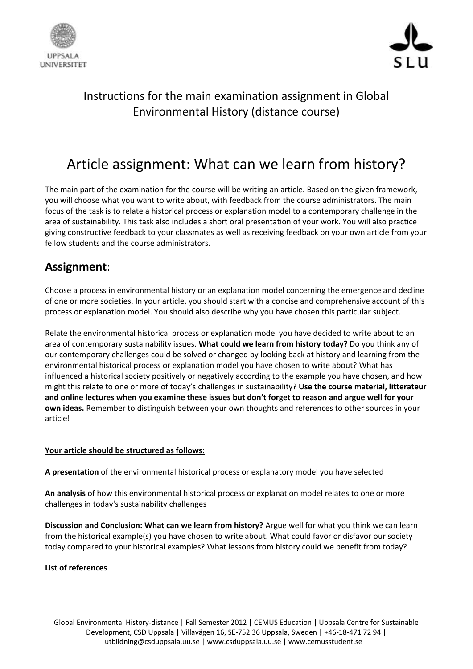



## Instructions for the main examination assignment in Global Environmental History (distance course)

# Article assignment: What can we learn from history?

The main part of the examination for the course will be writing an article. Based on the given framework, you will choose what you want to write about, with feedback from the course administrators. The main focus of the task is to relate a historical process or explanation model to a contemporary challenge in the area of sustainability. This task also includes a short oral presentation of your work. You will also practice giving constructive feedback to your classmates as well as receiving feedback on your own article from your fellow students and the course administrators.

### **Assignment**:

Choose a process in environmental history or an explanation model concerning the emergence and decline of one or more societies. In your article, you should start with a concise and comprehensive account of this process or explanation model. You should also describe why you have chosen this particular subject.

Relate the environmental historical process or explanation model you have decided to write about to an area of contemporary sustainability issues. **What could we learn from history today?** Do you think any of our contemporary challenges could be solved or changed by looking back at history and learning from the environmental historical process or explanation model you have chosen to write about? What has influenced a historical society positively or negatively according to the example you have chosen, and how might this relate to one or more of today's challenges in sustainability? **Use the course material, litterateur and online lectures when you examine these issues but don't forget to reason and argue well for your own ideas.** Remember to distinguish between your own thoughts and references to other sources in your article!

#### **Your article should be structured as follows:**

**A presentation** of the environmental historical process or explanatory model you have selected

**An analysis** of how this environmental historical process or explanation model relates to one or more challenges in today's sustainability challenges

**Discussion and Conclusion: What can we learn from history?** Argue well for what you think we can learn from the historical example(s) you have chosen to write about. What could favor or disfavor our society today compared to your historical examples? What lessons from history could we benefit from today?

#### **List of references**